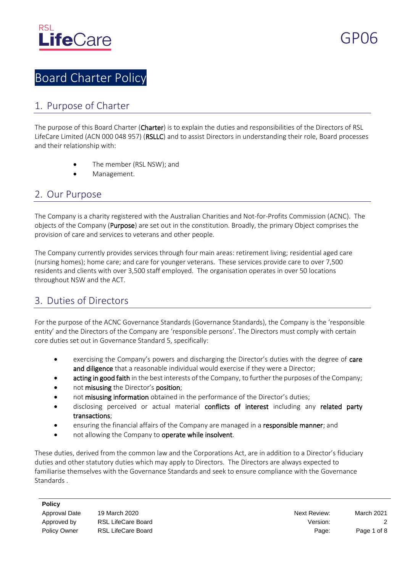

# Board Charter Policy

### 1. Purpose of Charter

The purpose of this Board Charter (Charter) is to explain the duties and responsibilities of the Directors of RSL LifeCare Limited (ACN 000 048 957) (RSLLC) and to assist Directors in understanding their role, Board processes and their relationship with:

- The member (RSL NSW); and
- Management.

#### 2. Our Purpose

The Company is a charity registered with the Australian Charities and Not-for-Profits Commission (ACNC). The objects of the Company (Purpose) are set out in the constitution. Broadly, the primary Object comprises the provision of care and services to veterans and other people.

The Company currently provides services through four main areas: retirement living; residential aged care (nursing homes); home care; and care for younger veterans. These services provide care to over 7,500 residents and clients with over 3,500 staff employed. The organisation operates in over 50 locations throughout NSW and the ACT.

### 3. Duties of Directors

For the purpose of the ACNC Governance Standards (Governance Standards), the Company is the 'responsible entity' and the Directors of the Company are 'responsible persons'. The Directors must comply with certain core duties set out in Governance Standard 5, specifically:

- exercising the Company's powers and discharging the Director's duties with the degree of care and diligence that a reasonable individual would exercise if they were a Director;
- acting in good faith in the best interests of the Company, to further the purposes of the Company;
- not misusing the Director's position;
- not misusing information obtained in the performance of the Director's duties;
- disclosing perceived or actual material conflicts of interest including any related party transactions;
- ensuring the financial affairs of the Company are managed in a responsible manner; and
- not allowing the Company to operate while insolvent.

These duties, derived from the common law and the Corporations Act, are in addition to a Director's fiduciary duties and other statutory duties which may apply to Directors. The Directors are always expected to familiarise themselves with the Governance Standards and seek to ensure compliance with the Governance Standards .

#### **Policy**

| Approval Date |  |
|---------------|--|
| Approved by   |  |
| Policy Owner  |  |

19 March 2020 Next Review: March 2021 Approved by RSL LifeCare Board 2 and 2 and 2 and 2 and 2 and 2 and 2 and 2 and 2 and 2 and 2 and 2 and 2 and 2 and 2 and 2 and 2 and 2 and 2 and 2 and 2 and 2 and 2 and 2 and 2 and 2 and 2 and 2 and 2 and 2 and 2 and 2 and Page: Page 1 of 8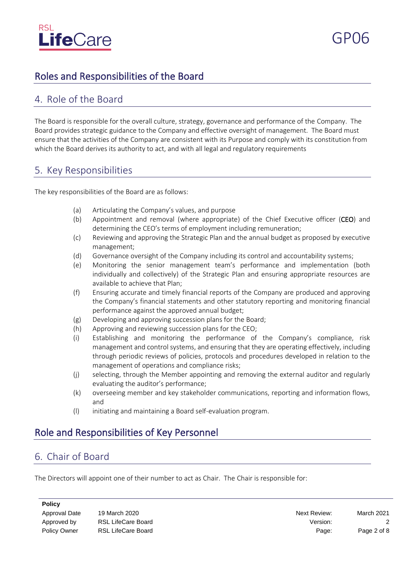

# Roles and Responsibilities of the Board

#### 4. Role of the Board

The Board is responsible for the overall culture, strategy, governance and performance of the Company. The Board provides strategic guidance to the Company and effective oversight of management. The Board must ensure that the activities of the Company are consistent with its Purpose and comply with its constitution from which the Board derives its authority to act, and with all legal and regulatory requirements

#### 5. Key Responsibilities

The key responsibilities of the Board are as follows:

- (a) Articulating the Company's values, and purpose
- (b) Appointment and removal (where appropriate) of the Chief Executive officer (CEO) and determining the CEO's terms of employment including remuneration;
- (c) Reviewing and approving the Strategic Plan and the annual budget as proposed by executive management;
- (d) Governance oversight of the Company including its control and accountability systems;
- (e) Monitoring the senior management team's performance and implementation (both individually and collectively) of the Strategic Plan and ensuring appropriate resources are available to achieve that Plan;
- (f) Ensuring accurate and timely financial reports of the Company are produced and approving the Company's financial statements and other statutory reporting and monitoring financial performance against the approved annual budget;
- (g) Developing and approving succession plans for the Board;
- (h) Approving and reviewing succession plans for the CEO;
- (i) Establishing and monitoring the performance of the Company's compliance, risk management and control systems, and ensuring that they are operating effectively, including through periodic reviews of policies, protocols and procedures developed in relation to the management of operations and compliance risks;
- (j) selecting, through the Member appointing and removing the external auditor and regularly evaluating the auditor's performance;
- (k) overseeing member and key stakeholder communications, reporting and information flows, and
- (l) initiating and maintaining a Board self-evaluation program.

# Role and Responsibilities of Key Personnel

# 6. Chair of Board

The Directors will appoint one of their number to act as Chair. The Chair is responsible for:

**Policy**

Approval Date 19 March 2020 **Next Review:** March 2021 Approved by ASL LifeCare Board And Controller Controller Controller Mercian Controller Controller Controller Controller Controller Controller Controller Controller Controller Controller Controller Controller Controller Con Policy Owner RSL LifeCare Board **Page:** Page 2 of 8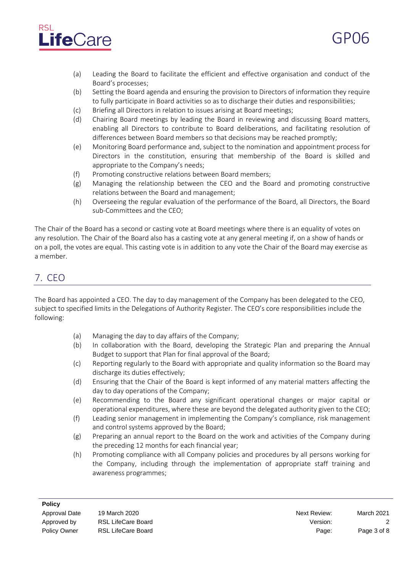

- (a) Leading the Board to facilitate the efficient and effective organisation and conduct of the Board's processes;
- (b) Setting the Board agenda and ensuring the provision to Directors of information they require to fully participate in Board activities so as to discharge their duties and responsibilities;
- (c) Briefing all Directors in relation to issues arising at Board meetings;
- (d) Chairing Board meetings by leading the Board in reviewing and discussing Board matters, enabling all Directors to contribute to Board deliberations, and facilitating resolution of differences between Board members so that decisions may be reached promptly;
- (e) Monitoring Board performance and, subject to the nomination and appointment process for Directors in the constitution, ensuring that membership of the Board is skilled and appropriate to the Company's needs;
- (f) Promoting constructive relations between Board members;
- (g) Managing the relationship between the CEO and the Board and promoting constructive relations between the Board and management;
- (h) Overseeing the regular evaluation of the performance of the Board, all Directors, the Board sub-Committees and the CEO;

The Chair of the Board has a second or casting vote at Board meetings where there is an equality of votes on any resolution. The Chair of the Board also has a casting vote at any general meeting if, on a show of hands or on a poll, the votes are equal. This casting vote is in addition to any vote the Chair of the Board may exercise as a member.

# 7. CEO

The Board has appointed a CEO. The day to day management of the Company has been delegated to the CEO, subject to specified limits in the Delegations of Authority Register. The CEO's core responsibilities include the following:

- (a) Managing the day to day affairs of the Company;
- (b) In collaboration with the Board, developing the Strategic Plan and preparing the Annual Budget to support that Plan for final approval of the Board;
- (c) Reporting regularly to the Board with appropriate and quality information so the Board may discharge its duties effectively;
- (d) Ensuring that the Chair of the Board is kept informed of any material matters affecting the day to day operations of the Company;
- (e) Recommending to the Board any significant operational changes or major capital or operational expenditures, where these are beyond the delegated authority given to the CEO;
- (f) Leading senior management in implementing the Company's compliance, risk management and control systems approved by the Board;
- (g) Preparing an annual report to the Board on the work and activities of the Company during the preceding 12 months for each financial year;
- (h) Promoting compliance with all Company policies and procedures by all persons working for the Company, including through the implementation of appropriate staff training and awareness programmes;

GP06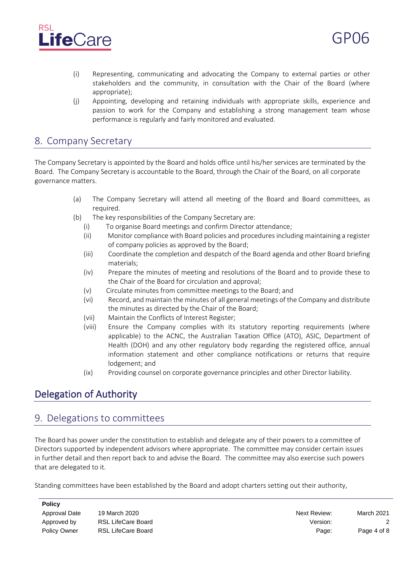

- (i) Representing, communicating and advocating the Company to external parties or other stakeholders and the community, in consultation with the Chair of the Board (where appropriate);
- (j) Appointing, developing and retaining individuals with appropriate skills, experience and passion to work for the Company and establishing a strong management team whose performance is regularly and fairly monitored and evaluated.

#### 8. Company Secretary

The Company Secretary is appointed by the Board and holds office until his/her services are terminated by the Board. The Company Secretary is accountable to the Board, through the Chair of the Board, on all corporate governance matters.

- (a) The Company Secretary will attend all meeting of the Board and Board committees, as required.
- (b) The key responsibilities of the Company Secretary are:
	- (i) To organise Board meetings and confirm Director attendance;
	- (ii) Monitor compliance with Board policies and procedures including maintaining a register of company policies as approved by the Board;
	- (iii) Coordinate the completion and despatch of the Board agenda and other Board briefing materials;
	- (iv) Prepare the minutes of meeting and resolutions of the Board and to provide these to the Chair of the Board for circulation and approval;
	- (v) Circulate minutes from committee meetings to the Board; and
	- (vi) Record, and maintain the minutes of all general meetings of the Company and distribute the minutes as directed by the Chair of the Board;
	- (vii) Maintain the Conflicts of Interest Register;
	- (viii) Ensure the Company complies with its statutory reporting requirements (where applicable) to the ACNC, the Australian Taxation Office (ATO), ASIC, Department of Health (DOH) and any other regulatory body regarding the registered office, annual information statement and other compliance notifications or returns that require lodgement; and
	- (ix) Providing counsel on corporate governance principles and other Director liability.

# Delegation of Authority

#### 9. Delegations to committees

The Board has power under the constitution to establish and delegate any of their powers to a committee of Directors supported by independent advisors where appropriate. The committee may consider certain issues in further detail and then report back to and advise the Board. The committee may also exercise such powers that are delegated to it.

Standing committees have been established by the Board and adopt charters setting out their authority,

| <b>LOIICA</b>        |  |
|----------------------|--|
| <b>Approval Date</b> |  |
| Approved by          |  |
| <b>Policy Owner</b>  |  |

**Policy**

Approval Date 19 March 2020 Next Review: March 2021 Approved by RSL LifeCare Board and the Care of the Care of the Version: 2 Page: Page 4 of 8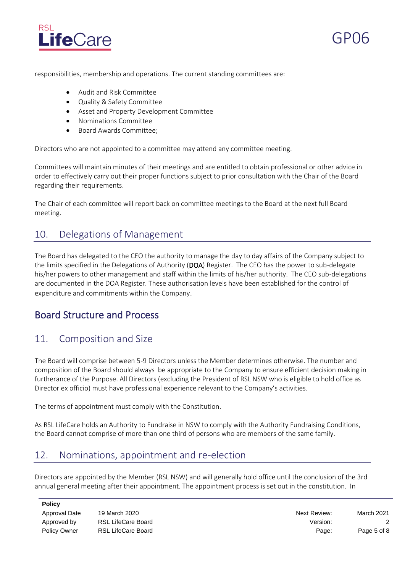

responsibilities, membership and operations. The current standing committees are:

- Audit and Risk Committee
- Quality & Safety Committee
- Asset and Property Development Committee
- Nominations Committee
- Board Awards Committee;

Directors who are not appointed to a committee may attend any committee meeting.

Committees will maintain minutes of their meetings and are entitled to obtain professional or other advice in order to effectively carry out their proper functions subject to prior consultation with the Chair of the Board regarding their requirements.

The Chair of each committee will report back on committee meetings to the Board at the next full Board meeting.

### 10. Delegations of Management

The Board has delegated to the CEO the authority to manage the day to day affairs of the Company subject to the limits specified in the Delegations of Authority (DOA) Register. The CEO has the power to sub-delegate his/her powers to other management and staff within the limits of his/her authority. The CEO sub-delegations are documented in the DOA Register. These authorisation levels have been established for the control of expenditure and commitments within the Company.

### Board Structure and Process

### 11. Composition and Size

The Board will comprise between 5-9 Directors unless the Member determines otherwise. The number and composition of the Board should always be appropriate to the Company to ensure efficient decision making in furtherance of the Purpose. All Directors (excluding the President of RSL NSW who is eligible to hold office as Director ex officio) must have professional experience relevant to the Company's activities.

The terms of appointment must comply with the Constitution.

As RSL LifeCare holds an Authority to Fundraise in NSW to comply with the Authority Fundraising Conditions, the Board cannot comprise of more than one third of persons who are members of the same family.

# 12. Nominations, appointment and re-election

Directors are appointed by the Member (RSL NSW) and will generally hold office until the conclusion of the 3rd annual general meeting after their appointment. The appointment process is set out in the constitution. In

#### **Policy**

Approval Date 19 March 2020 **Next Review:** March 2021 Approved by ASL LifeCare Board And Contact Contact Contact Contact Contact Contact Contact Contact Contact Contact Contact Contact Contact Contact Contact Contact Contact Contact Contact Contact Contact Contact Contact Con Policy Owner RSL LifeCare Board **Page:** Page: Page 5 of 8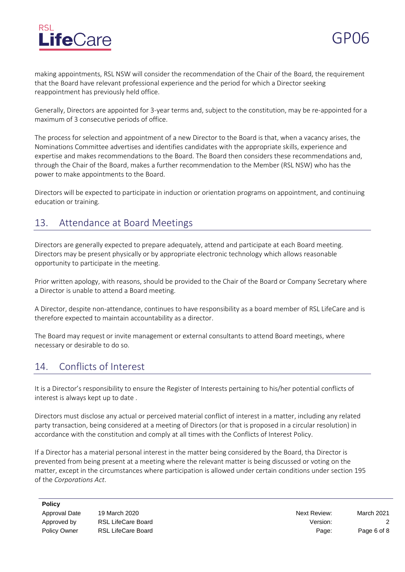

making appointments, RSL NSW will consider the recommendation of the Chair of the Board, the requirement that the Board have relevant professional experience and the period for which a Director seeking reappointment has previously held office.

Generally, Directors are appointed for 3-year terms and, subject to the constitution, may be re-appointed for a maximum of 3 consecutive periods of office.

The process for selection and appointment of a new Director to the Board is that, when a vacancy arises, the Nominations Committee advertises and identifies candidates with the appropriate skills, experience and expertise and makes recommendations to the Board. The Board then considers these recommendations and, through the Chair of the Board, makes a further recommendation to the Member (RSL NSW) who has the power to make appointments to the Board.

Directors will be expected to participate in induction or orientation programs on appointment, and continuing education or training.

# 13. Attendance at Board Meetings

Directors are generally expected to prepare adequately, attend and participate at each Board meeting. Directors may be present physically or by appropriate electronic technology which allows reasonable opportunity to participate in the meeting.

Prior written apology, with reasons, should be provided to the Chair of the Board or Company Secretary where a Director is unable to attend a Board meeting.

A Director, despite non-attendance, continues to have responsibility as a board member of RSL LifeCare and is therefore expected to maintain accountability as a director.

The Board may request or invite management or external consultants to attend Board meetings, where necessary or desirable to do so.

# 14. Conflicts of Interest

It is a Director's responsibility to ensure the Register of Interests pertaining to his/her potential conflicts of interest is always kept up to date .

Directors must disclose any actual or perceived material conflict of interest in a matter, including any related party transaction, being considered at a meeting of Directors (or that is proposed in a circular resolution) in accordance with the constitution and comply at all times with the Conflicts of Interest Policy.

If a Director has a material personal interest in the matter being considered by the Board, tha Director is prevented from being present at a meeting where the relevant matter is being discussed or voting on the matter, except in the circumstances where participation is allowed under certain conditions under section 195 of the *Corporations Act*.

**Policy**

Approval Date 19 March 2020 **Next Review:** March 2021 Approved by ASL LifeCare Board And Contact Contact Contact Contact Contact Contact Contact Contact Contact Contact Contact Contact Contact Contact Contact Contact Contact Contact Contact Contact Contact Contact Contact Con Policy Owner RSL LifeCare Board **Page:** Page: Page 6 of 8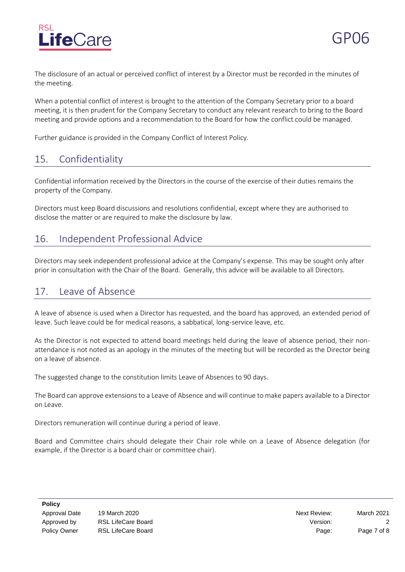

The disclosure of an actual or perceived conflict of interest by a Director must be recorded in the minutes of the meeting.

When a potential conflict of interest is brought to the attention of the Company Secretary prior to a board meeting, it is then prudent for the Company Secretary to conduct any relevant research to bring to the Board meeting and provide options and a recommendation to the Board for how the conflict could be managed.

Further guidance is provided in the Company Conflict of Interest Policy.

# 15. Confidentiality

Confidential information received by the Directors in the course of the exercise of their duties remains the property of the Company.

Directors must keep Board discussions and resolutions confidential, except where they are authorised to disclose the matter or are required to make the disclosure by law.

### 16. Independent Professional Advice

Directors may seek independent professional advice at the Company's expense. This may be sought only after prior in consultation with the Chair of the Board. Generally, this advice will be available to all Directors.

# 17. Leave of Absence

A leave of absence is used when a Director has requested, and the board has approved, an extended period of leave. Such leave could be for medical reasons, a sabbatical, long-service leave, etc.

As the Director is not expected to attend board meetings held during the leave of absence period, their nonattendance is not noted as an apology in the minutes of the meeting but will be recorded as the Director being on a leave of absence.

The suggested change to the constitution limits Leave of Absences to 90 days.

The Board can approve extensions to a Leave of Absence and will continue to make papers available to a Director on Leave.

Directors remuneration will continue during a period of leave.

Board and Committee chairs should delegate their Chair role while on a Leave of Absence delegation (for example, if the Director is a board chair or committee chair).

| <b>Policy</b> |  |
|---------------|--|
| Approval D    |  |

Approval Date 19 March 2020 Next Review: March 2021 Approved by ASL LifeCare Board And Contact Contact Contact Contact Contact Contact Contact Contact Contact Contact Contact Contact Contact Contact Contact Contact Contact Contact Contact Contact Contact Contact Contact Con Policy Owner RSL LifeCare Board **Page:** Page: Page 7 of 8